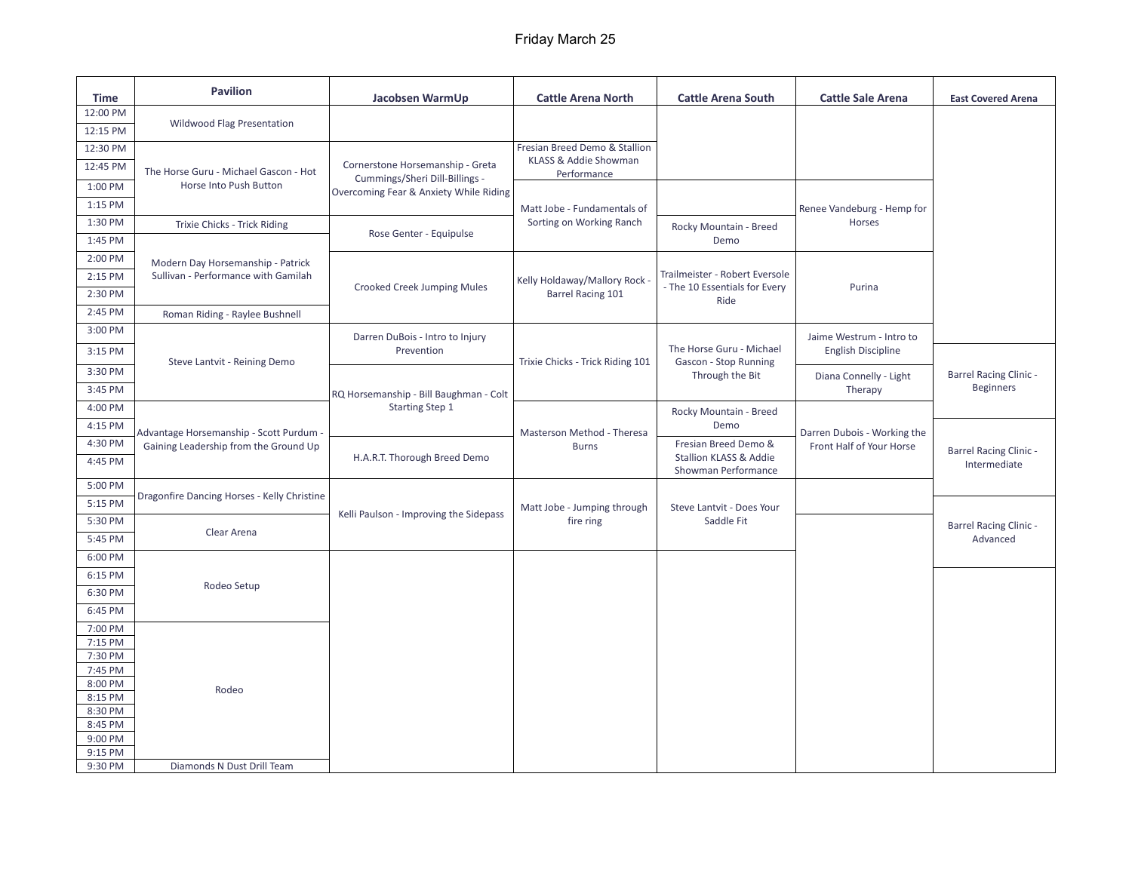## Friday March 25

| <b>Time</b>        | <b>Pavilion</b>                                                                | Jacobsen WarmUp                                                                                                                         | <b>Cattle Arena North</b>                                 | <b>Cattle Arena South</b>                                            | <b>Cattle Sale Arena</b>                                | <b>East Covered Arena</b>                         |
|--------------------|--------------------------------------------------------------------------------|-----------------------------------------------------------------------------------------------------------------------------------------|-----------------------------------------------------------|----------------------------------------------------------------------|---------------------------------------------------------|---------------------------------------------------|
| 12:00 PM           |                                                                                |                                                                                                                                         |                                                           |                                                                      |                                                         |                                                   |
| 12:15 PM           | <b>Wildwood Flag Presentation</b>                                              |                                                                                                                                         |                                                           |                                                                      |                                                         |                                                   |
| 12:30 PM           |                                                                                |                                                                                                                                         | Fresian Breed Demo & Stallion                             |                                                                      |                                                         |                                                   |
| 12:45 PM           | The Horse Guru - Michael Gascon - Hot                                          | Cornerstone Horsemanship - Greta<br>Cummings/Sheri Dill-Billings -<br>Overcoming Fear & Anxiety While Riding<br>Rose Genter - Equipulse | KLASS & Addie Showman<br>Performance                      |                                                                      |                                                         |                                                   |
| 1:00 PM            | Horse Into Push Button                                                         |                                                                                                                                         |                                                           |                                                                      |                                                         |                                                   |
| 1:15 PM            |                                                                                |                                                                                                                                         | Matt Jobe - Fundamentals of<br>Sorting on Working Ranch   |                                                                      | Renee Vandeburg - Hemp for                              |                                                   |
| 1:30 PM            | Trixie Chicks - Trick Riding                                                   |                                                                                                                                         |                                                           | Rocky Mountain - Breed                                               | Horses                                                  |                                                   |
| 1:45 PM            |                                                                                |                                                                                                                                         |                                                           | Demo                                                                 |                                                         |                                                   |
| 2:00 PM            | Modern Day Horsemanship - Patrick                                              |                                                                                                                                         |                                                           |                                                                      |                                                         |                                                   |
| 2:15 PM            | Sullivan - Performance with Gamilah                                            |                                                                                                                                         |                                                           | Trailmeister - Robert Eversole                                       |                                                         |                                                   |
| 2:30 PM            |                                                                                | <b>Crooked Creek Jumping Mules</b>                                                                                                      | Kelly Holdaway/Mallory Rock -<br><b>Barrel Racing 101</b> | - The 10 Essentials for Every<br>Ride                                | Purina                                                  |                                                   |
| 2:45 PM            | Roman Riding - Raylee Bushnell                                                 |                                                                                                                                         |                                                           |                                                                      |                                                         |                                                   |
| 3:00 PM            |                                                                                |                                                                                                                                         |                                                           |                                                                      |                                                         |                                                   |
| 3:15 PM            |                                                                                | Darren DuBois - Intro to Injury<br>Prevention                                                                                           | Trixie Chicks - Trick Riding 101                          | The Horse Guru - Michael<br>Gascon - Stop Running<br>Through the Bit | Jaime Westrum - Intro to<br><b>English Discipline</b>   |                                                   |
|                    | Steve Lantvit - Reining Demo                                                   |                                                                                                                                         |                                                           |                                                                      | Diana Connelly - Light                                  | <b>Barrel Racing Clinic -</b><br><b>Beginners</b> |
| 3:30 PM            |                                                                                |                                                                                                                                         |                                                           |                                                                      |                                                         |                                                   |
| 3:45 PM            |                                                                                | RQ Horsemanship - Bill Baughman - Colt                                                                                                  |                                                           |                                                                      | Therapy                                                 |                                                   |
| 4:00 PM            | Advantage Horsemanship - Scott Purdum<br>Gaining Leadership from the Ground Up | <b>Starting Step 1</b>                                                                                                                  | Masterson Method - Theresa<br><b>Burns</b>                | Rocky Mountain - Breed                                               | Darren Dubois - Working the<br>Front Half of Your Horse |                                                   |
| 4:15 PM            |                                                                                | H.A.R.T. Thorough Breed Demo                                                                                                            |                                                           | Demo<br>Fresian Breed Demo &<br>Stallion KLASS & Addie               |                                                         | <b>Barrel Racing Clinic -</b><br>Intermediate     |
| 4:30 PM            |                                                                                |                                                                                                                                         |                                                           |                                                                      |                                                         |                                                   |
| 4:45 PM            |                                                                                |                                                                                                                                         |                                                           | Showman Performance                                                  |                                                         |                                                   |
| 5:00 PM            |                                                                                |                                                                                                                                         |                                                           |                                                                      |                                                         |                                                   |
| 5:15 PM            | Dragonfire Dancing Horses - Kelly Christine                                    |                                                                                                                                         | Matt Jobe - Jumping through                               | Steve Lantvit - Does Your                                            |                                                         |                                                   |
| 5:30 PM            |                                                                                | Kelli Paulson - Improving the Sidepass                                                                                                  | fire ring                                                 | Saddle Fit                                                           |                                                         | <b>Barrel Racing Clinic -</b><br>Advanced         |
| 5:45 PM            | Clear Arena                                                                    |                                                                                                                                         |                                                           |                                                                      |                                                         |                                                   |
| 6:00 PM            |                                                                                |                                                                                                                                         |                                                           |                                                                      |                                                         |                                                   |
| 6:15 PM            |                                                                                |                                                                                                                                         |                                                           |                                                                      |                                                         |                                                   |
| 6:30 PM            | Rodeo Setup                                                                    |                                                                                                                                         |                                                           |                                                                      |                                                         |                                                   |
| 6:45 PM            |                                                                                |                                                                                                                                         |                                                           |                                                                      |                                                         |                                                   |
| 7:00 PM            |                                                                                |                                                                                                                                         |                                                           |                                                                      |                                                         |                                                   |
| 7:15 PM            |                                                                                |                                                                                                                                         |                                                           |                                                                      |                                                         |                                                   |
| 7:30 PM<br>7:45 PM |                                                                                |                                                                                                                                         |                                                           |                                                                      |                                                         |                                                   |
| 8:00 PM            | Rodeo                                                                          |                                                                                                                                         |                                                           |                                                                      |                                                         |                                                   |
| 8:15 PM            |                                                                                |                                                                                                                                         |                                                           |                                                                      |                                                         |                                                   |
| 8:30 PM            |                                                                                |                                                                                                                                         |                                                           |                                                                      |                                                         |                                                   |
| 8:45 PM<br>9:00 PM |                                                                                |                                                                                                                                         |                                                           |                                                                      |                                                         |                                                   |
| 9:15 PM            |                                                                                |                                                                                                                                         |                                                           |                                                                      |                                                         |                                                   |
| 9:30 PM            | Diamonds N Dust Drill Team                                                     |                                                                                                                                         |                                                           |                                                                      |                                                         |                                                   |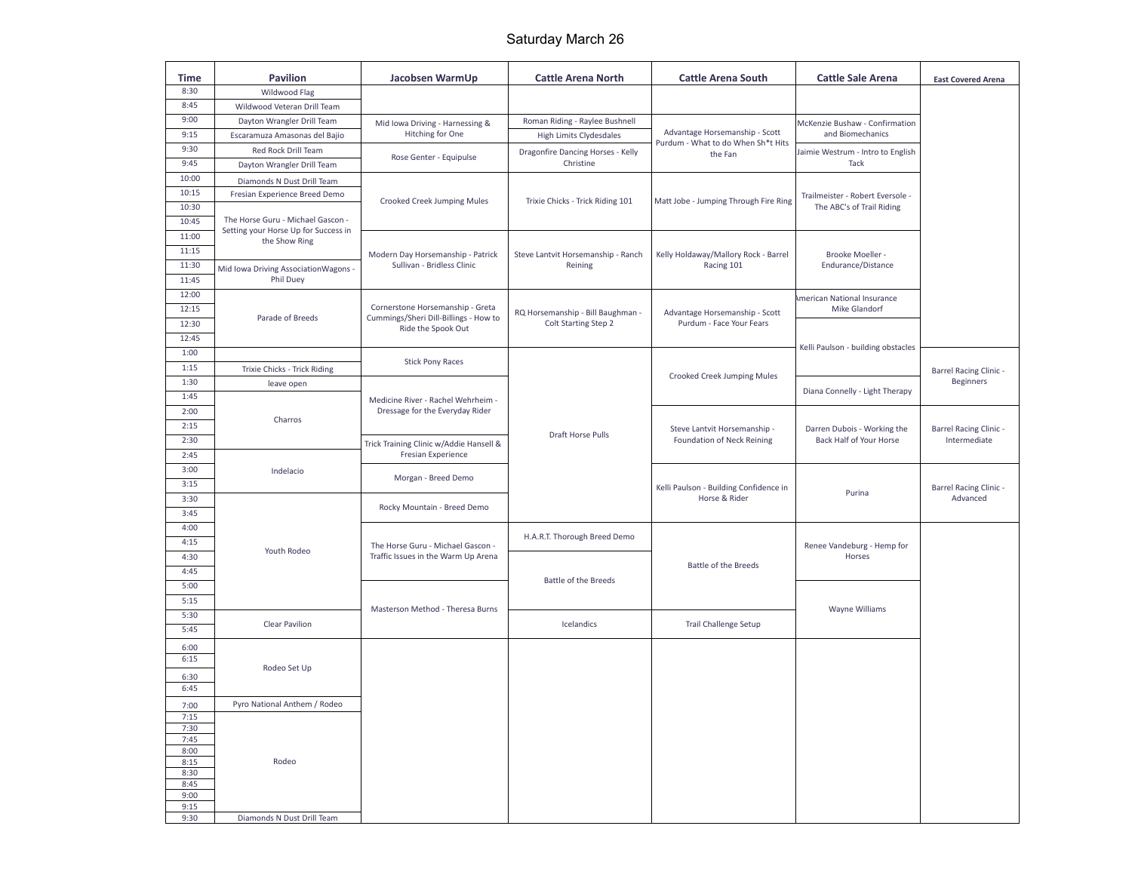## Saturday March 26

| Time           | <b>Pavilion</b>                                   | Jacobsen WarmUp                                                          | <b>Cattle Arena North</b>                                 | <b>Cattle Arena South</b>                                            | <b>Cattle Sale Arena</b>                               | <b>East Covered Arena</b>                         |
|----------------|---------------------------------------------------|--------------------------------------------------------------------------|-----------------------------------------------------------|----------------------------------------------------------------------|--------------------------------------------------------|---------------------------------------------------|
| 8:30           | Wildwood Flag                                     |                                                                          |                                                           |                                                                      |                                                        |                                                   |
| 8:45           | Wildwood Veteran Drill Team                       |                                                                          |                                                           |                                                                      |                                                        |                                                   |
| 9:00           | Dayton Wrangler Drill Team                        | Mid Iowa Driving - Harnessing &                                          | Roman Riding - Raylee Bushnell                            |                                                                      | McKenzie Bushaw - Confirmation                         |                                                   |
| 9:15           | Escaramuza Amasonas del Bajio                     | Hitching for One                                                         | <b>High Limits Clydesdales</b>                            | Advantage Horsemanship - Scott<br>Purdum - What to do When Sh*t Hits | and Biomechanics                                       |                                                   |
| 9:30           | Red Rock Drill Team                               | Rose Genter - Equipulse                                                  | Dragonfire Dancing Horses - Kelly                         | the Fan                                                              | Jaimie Westrum - Intro to English                      |                                                   |
| 9:45           | Dayton Wrangler Drill Team                        |                                                                          | Christine                                                 |                                                                      | Tack                                                   |                                                   |
| 10:00          | Diamonds N Dust Drill Team                        |                                                                          |                                                           |                                                                      |                                                        |                                                   |
| 10:15<br>10:30 | Fresian Experience Breed Demo                     | Crooked Creek Jumping Mules                                              | Trixie Chicks - Trick Riding 101                          | Matt Jobe - Jumping Through Fire Ring                                | Trailmeister - Robert Eversole -                       |                                                   |
|                | The Horse Guru - Michael Gascon -                 |                                                                          |                                                           |                                                                      | The ABC's of Trail Riding                              |                                                   |
| 10:45<br>11:00 | Setting your Horse Up for Success in              |                                                                          |                                                           |                                                                      |                                                        |                                                   |
| 11:15          | the Show Ring                                     |                                                                          |                                                           |                                                                      |                                                        |                                                   |
| 11:30          |                                                   | Modern Day Horsemanship - Patrick<br>Sullivan - Bridless Clinic          | Steve Lantvit Horsemanship - Ranch<br>Reining             | Kelly Holdaway/Mallory Rock - Barrel<br>Racing 101                   | Brooke Moeller -<br>Endurance/Distance                 |                                                   |
| 11:45          | Mid Iowa Driving AssociationWagons -<br>Phil Duey |                                                                          |                                                           |                                                                      |                                                        |                                                   |
| 12:00          |                                                   |                                                                          |                                                           |                                                                      |                                                        |                                                   |
| 12:15          |                                                   | Cornerstone Horsemanship - Greta                                         |                                                           |                                                                      | American National Insurance<br>Mike Glandorf           |                                                   |
| 12:30          | Parade of Breeds                                  | Cummings/Sheri Dill-Billings - How to                                    | RQ Horsemanship - Bill Baughman -<br>Colt Starting Step 2 | Advantage Horsemanship - Scott<br>Purdum - Face Your Fears           |                                                        |                                                   |
| 12:45          |                                                   | Ride the Spook Out                                                       |                                                           |                                                                      | Kelli Paulson - building obstacles                     |                                                   |
| 1:00           |                                                   |                                                                          |                                                           |                                                                      |                                                        |                                                   |
| 1:15           | Trixie Chicks - Trick Riding                      | <b>Stick Pony Races</b>                                                  |                                                           |                                                                      |                                                        |                                                   |
| 1:30           | leave open                                        |                                                                          |                                                           | Crooked Creek Jumping Mules                                          |                                                        | <b>Barrel Racing Clinic -</b><br><b>Beginners</b> |
| 1:45           |                                                   | Medicine River - Rachel Wehrheim -                                       |                                                           |                                                                      | Diana Connelly - Light Therapy                         |                                                   |
| 2:00           |                                                   | Dressage for the Everyday Rider                                          |                                                           |                                                                      |                                                        |                                                   |
| 2:15           | Charros                                           |                                                                          |                                                           | Steve Lantvit Horsemanship -<br>Foundation of Neck Reining           | Darren Dubois - Working the<br>Back Half of Your Horse | <b>Barrel Racing Clinic -</b><br>Intermediate     |
| 2:30           |                                                   | Trick Training Clinic w/Addie Hansell &<br>Fresian Experience            | Draft Horse Pulls                                         |                                                                      |                                                        |                                                   |
| 2:45           |                                                   |                                                                          |                                                           |                                                                      |                                                        |                                                   |
| 3:00           | Indelacio                                         | Morgan - Breed Demo                                                      |                                                           | Kelli Paulson - Building Confidence in<br>Horse & Rider              | Purina                                                 | <b>Barrel Racing Clinic -</b><br>Advanced         |
| 3:15           |                                                   |                                                                          |                                                           |                                                                      |                                                        |                                                   |
| 3:30           |                                                   |                                                                          |                                                           |                                                                      |                                                        |                                                   |
| 3:45           |                                                   | Rocky Mountain - Breed Demo                                              |                                                           |                                                                      |                                                        |                                                   |
| 4:00           |                                                   |                                                                          |                                                           |                                                                      |                                                        |                                                   |
| 4:15           |                                                   | The Horse Guru - Michael Gascon -<br>Traffic Issues in the Warm Up Arena | H.A.R.T. Thorough Breed Demo                              | <b>Battle of the Breeds</b>                                          | Renee Vandeburg - Hemp for<br>Horses                   |                                                   |
| 4:30           | Youth Rodeo                                       |                                                                          |                                                           |                                                                      |                                                        |                                                   |
| 4:45           |                                                   |                                                                          |                                                           |                                                                      |                                                        |                                                   |
| 5:00           |                                                   |                                                                          | <b>Battle of the Breeds</b>                               |                                                                      |                                                        |                                                   |
| 5:15           |                                                   | Masterson Method - Theresa Burns                                         |                                                           |                                                                      | Wayne Williams                                         |                                                   |
| 5:30           | <b>Clear Pavilion</b>                             |                                                                          | Icelandics<br><b>Trail Challenge Setup</b>                |                                                                      |                                                        |                                                   |
| 5:45           |                                                   |                                                                          |                                                           |                                                                      |                                                        |                                                   |
| 6:00           |                                                   |                                                                          |                                                           |                                                                      |                                                        |                                                   |
| 6:15           | Rodeo Set Up                                      |                                                                          |                                                           |                                                                      |                                                        |                                                   |
| 6:30           |                                                   |                                                                          |                                                           |                                                                      |                                                        |                                                   |
| 6:45           |                                                   |                                                                          |                                                           |                                                                      |                                                        |                                                   |
| 7:00           | Pyro National Anthem / Rodeo                      |                                                                          |                                                           |                                                                      |                                                        |                                                   |
| 7:15<br>7:30   |                                                   |                                                                          |                                                           |                                                                      |                                                        |                                                   |
| 7:45           |                                                   |                                                                          |                                                           |                                                                      |                                                        |                                                   |
| 8:00           |                                                   |                                                                          |                                                           |                                                                      |                                                        |                                                   |
| 8:15<br>8:30   | Rodeo                                             |                                                                          |                                                           |                                                                      |                                                        |                                                   |
| 8:45           |                                                   |                                                                          |                                                           |                                                                      |                                                        |                                                   |
| 9:00           |                                                   |                                                                          |                                                           |                                                                      |                                                        |                                                   |
| 9:15<br>9:30   | Diamonds N Dust Drill Team                        |                                                                          |                                                           |                                                                      |                                                        |                                                   |